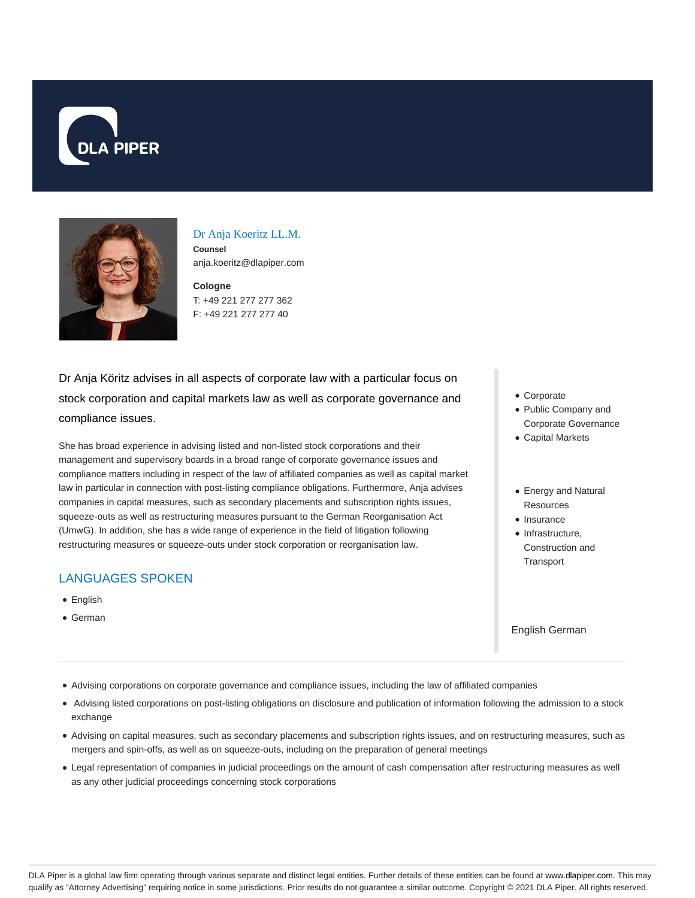



### Dr Anja Koeritz LL.M.

**Counsel** anja.koeritz@dlapiper.com

**Cologne** T: +49 221 277 277 362 F: +49 221 277 277 40

Dr Anja Köritz advises in all aspects of corporate law with a particular focus on stock corporation and capital markets law as well as corporate governance and compliance issues.

She has broad experience in advising listed and non-listed stock corporations and their management and supervisory boards in a broad range of corporate governance issues and compliance matters including in respect of the law of affiliated companies as well as capital market law in particular in connection with post-listing compliance obligations. Furthermore, Anja advises companies in capital measures, such as secondary placements and subscription rights issues, squeeze-outs as well as restructuring measures pursuant to the German Reorganisation Act (UmwG). In addition, she has a wide range of experience in the field of litigation following restructuring measures or squeeze-outs under stock corporation or reorganisation law.

## LANGUAGES SPOKEN

- English
- German
- Corporate
- Public Company and Corporate Governance
- Capital Markets
- Energy and Natural **Resources**
- Insurance
- Infrastructure. Construction and **Transport**

English German

- Advising corporations on corporate governance and compliance issues, including the law of affiliated companies
- Advising listed corporations on post-listing obligations on disclosure and publication of information following the admission to a stock exchange
- Advising on capital measures, such as secondary placements and subscription rights issues, and on restructuring measures, such as mergers and spin-offs, as well as on squeeze-outs, including on the preparation of general meetings
- Legal representation of companies in judicial proceedings on the amount of cash compensation after restructuring measures as well as any other judicial proceedings concerning stock corporations